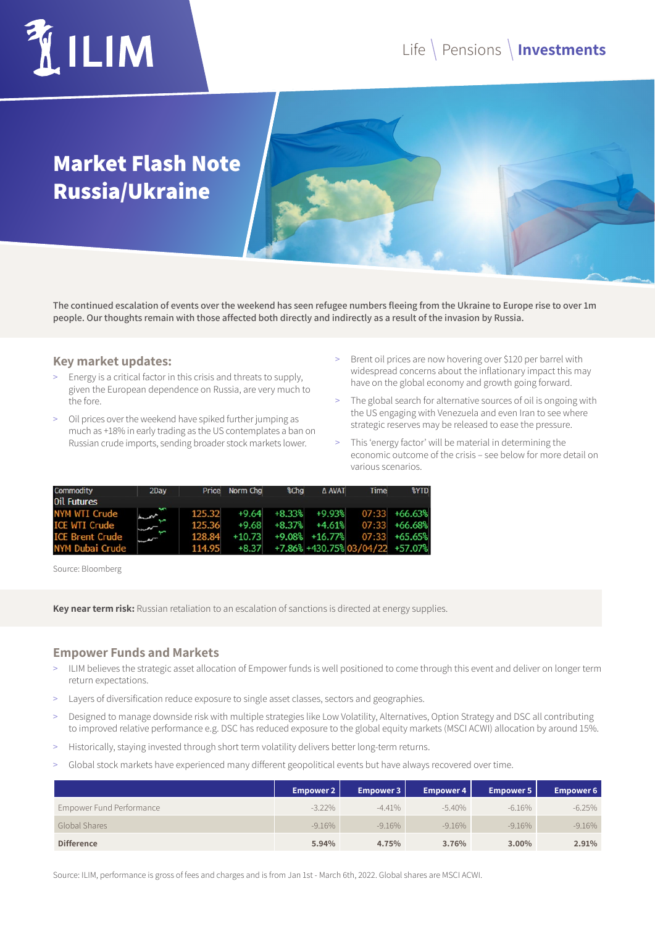## **LIM**

### **Market Flash Note Russia/Ukraine**

**The continued escalation of events over the weekend has seen refugee numbers fleeing from the Ukraine to Europe rise to over 1m people. Our thoughts remain with those affected both directly and indirectly as a result of the invasion by Russia.**

#### **Key market updates:**

- > Energy is a critical factor in this crisis and threats to supply, given the European dependence on Russia, are very much to the fore.
- Oil prices over the weekend have spiked further jumping as much as +18% in early trading as the US contemplates a ban on Russian crude imports, sending broader stock markets lower.
- > Brent oil prices are now hovering over \$120 per barrel with widespread concerns about the inflationary impact this may have on the global economy and growth going forward.
- > The global search for alternative sources of oil is ongoing with the US engaging with Venezuela and even Iran to see where strategic reserves may be released to ease the pressure.
- > This 'energy factor' will be material in determining the economic outcome of the crisis – see below for more detail on various scenarios.

| Commodity              | 2Day   |        | Price Norm Chg | %Chg | A AVAT            | Time                                         | <b>%YTD</b>     |
|------------------------|--------|--------|----------------|------|-------------------|----------------------------------------------|-----------------|
| <b>Oil Futures</b>     |        |        |                |      |                   |                                              |                 |
| <b>NYM WTI Crude</b>   | $\sim$ | 125.32 |                |      |                   | $+9.64$ $+8.33\%$ $+9.93\%$ 07:33 $+66.63\%$ |                 |
| <b>ICE WTI Crude</b>   |        | 125.36 | $+9.68$        |      | $+8.37\% +4.61\%$ |                                              | $07:33$ +66.68% |
| <b>ICE Brent Crude</b> | ì      | 128.84 | $+10.73$       |      |                   | +9.08% +16.77% 07:33 +65.65%                 |                 |
| <b>NYM Dubai Crude</b> |        | 114.95 |                |      |                   | +8.37 +7.86% +430.75% 03/04/22 +57.07%       |                 |

Source: Bloomberg

**Key near term risk:** Russian retaliation to an escalation of sanctions is directed at energy supplies.

#### **Empower Funds and Markets**

- ILIM believes the strategic asset allocation of Empower funds is well positioned to come through this event and deliver on longer term return expectations.
- > Layers of diversification reduce exposure to single asset classes, sectors and geographies.
- > Designed to manage downside risk with multiple strategies like Low Volatility, Alternatives, Option Strategy and DSC all contributing to improved relative performance e.g. DSC has reduced exposure to the global equity markets (MSCI ACWI) allocation by around 15%.
- Historically, staying invested through short term volatility delivers better long-term returns.
- Global stock markets have experienced many different geopolitical events but have always recovered over time.

|                          | <b>Empower 2</b> | <b>Empower 3</b> | Empower 4 | Empower 5 | <b>Empower 6</b> |
|--------------------------|------------------|------------------|-----------|-----------|------------------|
| Empower Fund Performance | $-3.22\%$        | $-4.41%$         | $-5.40\%$ | $-6.16\%$ | $-6.25%$         |
| Global Shares            | $-9.16\%$        | $-9.16\%$        | $-9.16\%$ | $-9.16\%$ | $-9.16\%$        |
| <b>Difference</b>        | 5.94%            | 4.75%            | 3.76%     | $3.00\%$  | 2.91%            |

Source: ILIM, performance is gross of fees and charges and is from Jan 1st - March 6th, 2022. Global shares are MSCI ACWI.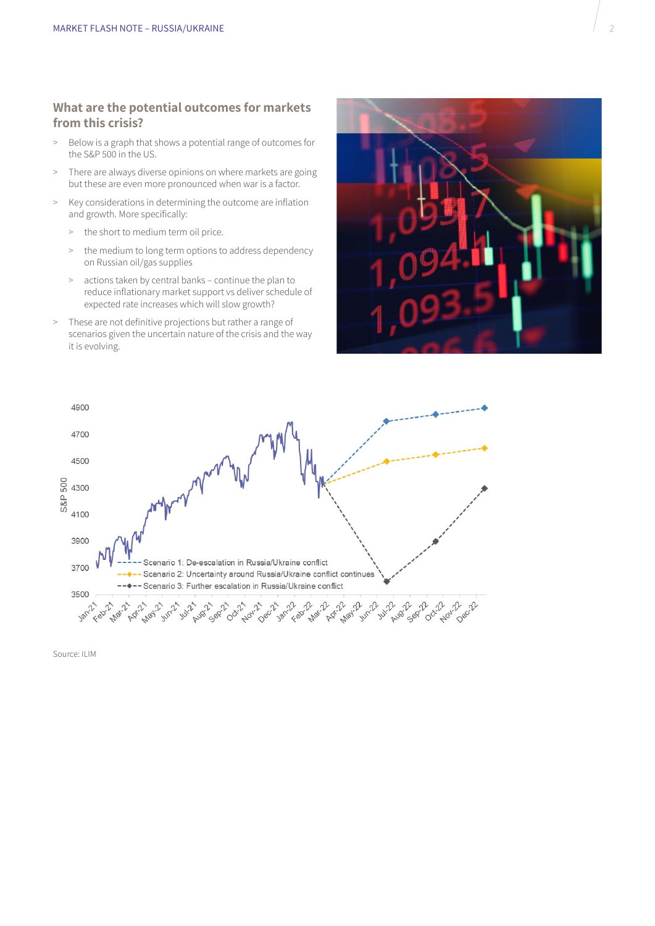#### **What are the potential outcomes for markets from this crisis?**

- > Below is a graph that shows a potential range of outcomes for the S&P 500 in the US.
- > There are always diverse opinions on where markets are going but these are even more pronounced when war is a factor.
- > Key considerations in determining the outcome are inflation and growth. More specifically:
	- > the short to medium term oil price.
	- the medium to long term options to address dependency on Russian oil/gas supplies
	- > actions taken by central banks continue the plan to reduce inflationary market support vs deliver schedule of expected rate increases which will slow growth?
- > These are not definitive projections but rather a range of scenarios given the uncertain nature of the crisis and the way it is evolving.





Source: ILIM